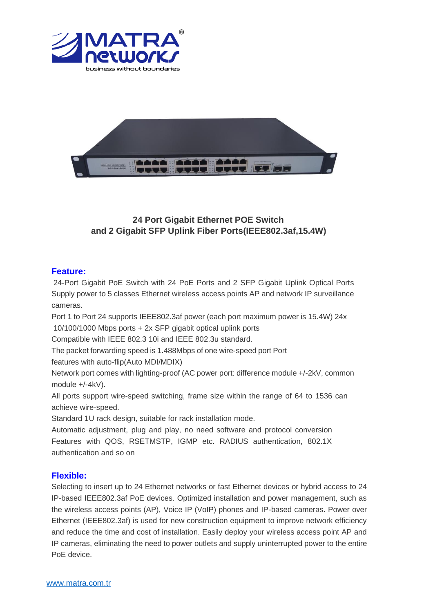



# **24 Port Gigabit Ethernet POE Switch and 2 Gigabit SFP Uplink Fiber Ports(IEEE802.3af,15.4W)**

#### **Feature:**

24-Port Gigabit PoE Switch with 24 PoE Ports and 2 SFP Gigabit Uplink Optical Ports Supply power to 5 classes Ethernet wireless access points AP and network IP surveillance cameras.

Port 1 to Port 24 supports IEEE802.3af power (each port maximum power is 15.4W) 24x 10/100/1000 Mbps ports + 2x SFP gigabit optical uplink ports

Compatible with IEEE 802.3 10i and IEEE 802.3u standard.

The packet forwarding speed is 1.488Mbps of one wire-speed port Port

features with auto-flip(Auto MDI/MDIX)

Network port comes with lighting-proof (AC power port: difference module +/-2kV, common module +/-4kV).

All ports support wire-speed switching, frame size within the range of 64 to 1536 can achieve wire-speed.

Standard 1U rack design, suitable for rack installation mode.

Automatic adjustment, plug and play, no need software and protocol conversion Features with QOS, RSETMSTP, IGMP etc. RADIUS authentication, 802.1X authentication and so on

## **Flexible:**

Selecting to insert up to 24 Ethernet networks or fast Ethernet devices or hybrid access to 24 IP-based IEEE802.3af PoE devices. Optimized installation and power management, such as the wireless access points (AP), Voice IP (VoIP) phones and IP-based cameras. Power over Ethernet (IEEE802.3af) is used for new construction equipment to improve network efficiency and reduce the time and cost of installation. Easily deploy your wireless access point AP and IP cameras, eliminating the need to power outlets and supply uninterrupted power to the entire PoE device.